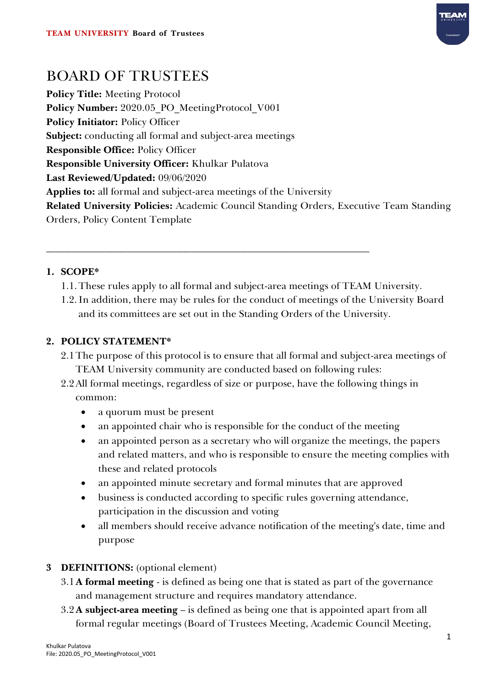

# BOARD OF TRUSTEES

**Policy Title:** Meeting Protocol **Policy Number:** 2020.05\_PO\_MeetingProtocol\_V001 **Policy Initiator:** Policy Officer **Subject:** conducting all formal and subject-area meetings **Responsible Office:** Policy Officer **Responsible University Officer:** Khulkar Pulatova **Last Reviewed/Updated:** 09/06/2020 **Applies to:** all formal and subject-area meetings of the University **Related University Policies:** Academic Council Standing Orders, Executive Team Standing Orders, Policy Content Template

# **1. SCOPE\***

1.1. These rules apply to all formal and subject-area meetings of TEAM University.

\_\_\_\_\_\_\_\_\_\_\_\_\_\_\_\_\_\_\_\_\_\_\_\_\_\_\_\_\_\_\_\_\_\_\_\_\_\_\_\_\_\_\_\_\_\_\_\_\_\_\_\_\_\_\_\_\_\_\_\_\_\_\_\_\_\_\_\_\_\_\_\_

1.2. In addition, there may be rules for the conduct of meetings of the University Board and its committees are set out in the Standing Orders of the University.

# **2. POLICY STATEMENT\***

- 2.1The purpose of this protocol is to ensure that all formal and subject-area meetings of TEAM University community are conducted based on following rules:
- 2.2All formal meetings, regardless of size or purpose, have the following things in common:
	- a quorum must be present
	- an appointed chair who is responsible for the conduct of the meeting
	- an appointed person as a secretary who will organize the meetings, the papers and related matters, and who is responsible to ensure the meeting complies with these and related protocols
	- an appointed minute secretary and formal minutes that are approved
	- business is conducted according to specific rules governing attendance, participation in the discussion and voting
	- all members should receive advance notification of the meeting's date, time and purpose

# **3 DEFINITIONS:** (optional element)

- 3.1**A formal meeting** is defined as being one that is stated as part of the governance and management structure and requires mandatory attendance.
- 3.2**A subject-area meeting** is defined as being one that is appointed apart from all formal regular meetings (Board of Trustees Meeting, Academic Council Meeting,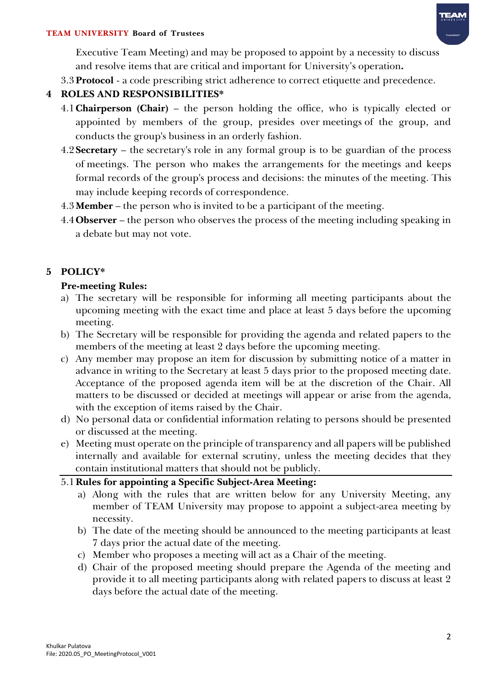

#### **TEAM UNIVERSITY Board of Trustees**

Executive Team Meeting) and may be proposed to appoint by a necessity to discuss and resolve items that are critical and important for University's operation**.**

3.3**Protocol** - a code prescribing strict adherence to correct etiquette and precedence.

#### **4 ROLES AND RESPONSIBILITIES\***

- 4.1**Chairperson (Chair)** the person holding the office, who is typically elected or appointed by members of the group, presides over meetings of the group, and conducts the group's business in an orderly fashion.
- 4.2**Secretary**  the secretary's role in any formal group is to be guardian of the process of meetings. The person who makes the arrangements for the meetings and keeps formal records of the group's process and decisions: the minutes of the meeting. This may include keeping records of correspondence.
- 4.3**Member**  the person who is invited to be a participant of the meeting.
- 4.4**Observer**  the person who observes the process of the meeting including speaking in a debate but may not vote.

#### **5 POLICY\***

#### **Pre-meeting Rules:**

- a) The secretary will be responsible for informing all meeting participants about the upcoming meeting with the exact time and place at least 5 days before the upcoming meeting.
- b) The Secretary will be responsible for providing the agenda and related papers to the members of the meeting at least 2 days before the upcoming meeting.
- c) Any member may propose an item for discussion by submitting notice of a matter in advance in writing to the Secretary at least 5 days prior to the proposed meeting date. Acceptance of the proposed agenda item will be at the discretion of the Chair. All matters to be discussed or decided at meetings will appear or arise from the agenda, with the exception of items raised by the Chair.
- d) No personal data or confidential information relating to persons should be presented or discussed at the meeting.
- e) Meeting must operate on the principle of transparency and all papers will be published internally and available for external scrutiny, unless the meeting decides that they contain institutional matters that should not be publicly.

5.1**Rules for appointing a Specific Subject-Area Meeting:**

- a) Along with the rules that are written below for any University Meeting, any member of TEAM University may propose to appoint a subject-area meeting by necessity.
- b) The date of the meeting should be announced to the meeting participants at least 7 days prior the actual date of the meeting.
- c) Member who proposes a meeting will act as a Chair of the meeting.
- d) Chair of the proposed meeting should prepare the Agenda of the meeting and provide it to all meeting participants along with related papers to discuss at least 2 days before the actual date of the meeting.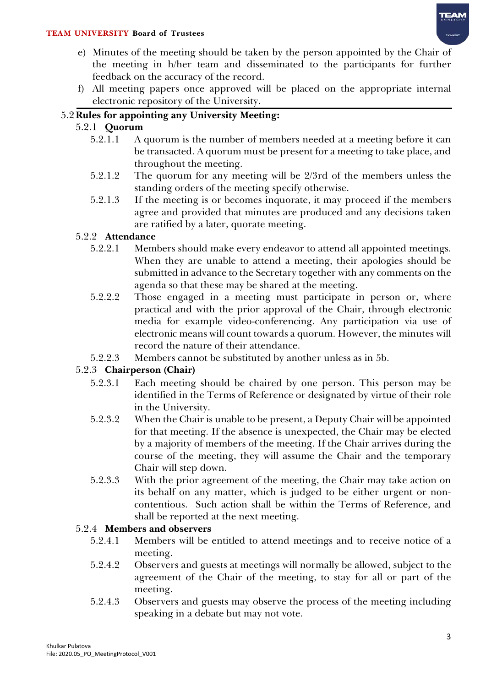# **TEAN**

#### **TEAM UNIVERSITY Board of Trustees**

- e) Minutes of the meeting should be taken by the person appointed by the Chair of the meeting in h/her team and disseminated to the participants for further feedback on the accuracy of the record.
- f) All meeting papers once approved will be placed on the appropriate internal electronic repository of the University.

#### 5.2**Rules for appointing any University Meeting:**

#### 5.2.1 **Quorum**

- 5.2.1.1 A quorum is the number of members needed at a meeting before it can be transacted. A quorum must be present for a meeting to take place, and throughout the meeting.
- 5.2.1.2 The quorum for any meeting will be 2/3rd of the members unless the standing orders of the meeting specify otherwise.
- 5.2.1.3 If the meeting is or becomes inquorate, it may proceed if the members agree and provided that minutes are produced and any decisions taken are ratified by a later, quorate meeting.

#### 5.2.2 **Attendance**

- 5.2.2.1 Members should make every endeavor to attend all appointed meetings. When they are unable to attend a meeting, their apologies should be submitted in advance to the Secretary together with any comments on the agenda so that these may be shared at the meeting.
- 5.2.2.2 Those engaged in a meeting must participate in person or, where practical and with the prior approval of the Chair, through electronic media for example video-conferencing. Any participation via use of electronic means will count towards a quorum. However, the minutes will record the nature of their attendance.
- 5.2.2.3 Members cannot be substituted by another unless as in 5b.

#### 5.2.3 **Chairperson (Chair)**

- 5.2.3.1 Each meeting should be chaired by one person. This person may be identified in the Terms of Reference or designated by virtue of their role in the University.
- 5.2.3.2 When the Chair is unable to be present, a Deputy Chair will be appointed for that meeting. If the absence is unexpected, the Chair may be elected by a majority of members of the meeting. If the Chair arrives during the course of the meeting, they will assume the Chair and the temporary Chair will step down.
- 5.2.3.3 With the prior agreement of the meeting, the Chair may take action on its behalf on any matter, which is judged to be either urgent or noncontentious. Such action shall be within the Terms of Reference, and shall be reported at the next meeting.

#### 5.2.4 **Members and observers**

- 5.2.4.1 Members will be entitled to attend meetings and to receive notice of a meeting.
- 5.2.4.2 Observers and guests at meetings will normally be allowed, subject to the agreement of the Chair of the meeting, to stay for all or part of the meeting.
- 5.2.4.3 Observers and guests may observe the process of the meeting including speaking in a debate but may not vote.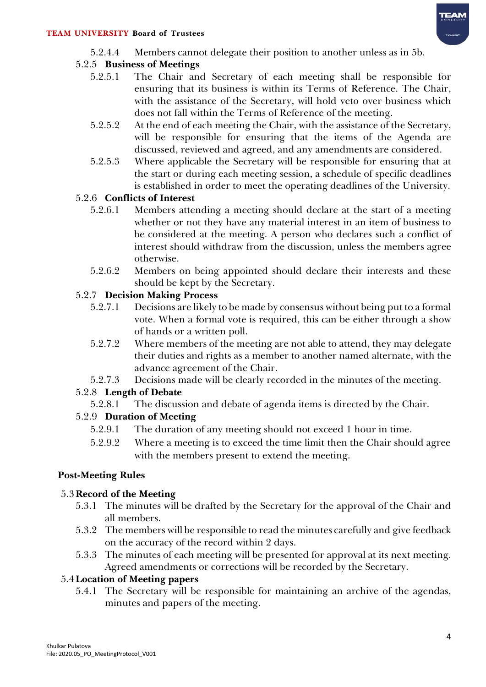5.2.4.4 Members cannot delegate their position to another unless as in 5b.

#### 5.2.5 **Business of Meetings**

- 5.2.5.1 The Chair and Secretary of each meeting shall be responsible for ensuring that its business is within its Terms of Reference. The Chair, with the assistance of the Secretary, will hold veto over business which does not fall within the Terms of Reference of the meeting.
- 5.2.5.2 At the end of each meeting the Chair, with the assistance of the Secretary, will be responsible for ensuring that the items of the Agenda are discussed, reviewed and agreed, and any amendments are considered.
- 5.2.5.3 Where applicable the Secretary will be responsible for ensuring that at the start or during each meeting session, a schedule of specific deadlines is established in order to meet the operating deadlines of the University.

#### 5.2.6 **Conflicts of Interest**

- 5.2.6.1 Members attending a meeting should declare at the start of a meeting whether or not they have any material interest in an item of business to be considered at the meeting. A person who declares such a conflict of interest should withdraw from the discussion, unless the members agree otherwise.
- 5.2.6.2 Members on being appointed should declare their interests and these should be kept by the Secretary.

#### 5.2.7 **Decision Making Process**

- 5.2.7.1 Decisions are likely to be made by consensus without being put to a formal vote. When a formal vote is required, this can be either through a show of hands or a written poll.
- 5.2.7.2 Where members of the meeting are not able to attend, they may delegate their duties and rights as a member to another named alternate, with the advance agreement of the Chair.
- 5.2.7.3 Decisions made will be clearly recorded in the minutes of the meeting.

# 5.2.8 **Length of Debate**

5.2.8.1 The discussion and debate of agenda items is directed by the Chair.

# 5.2.9 **Duration of Meeting**

- 5.2.9.1 The duration of any meeting should not exceed 1 hour in time.
- 5.2.9.2 Where a meeting is to exceed the time limit then the Chair should agree with the members present to extend the meeting.

# **Post-Meeting Rules**

# 5.3**Record of the Meeting**

- 5.3.1 The minutes will be drafted by the Secretary for the approval of the Chair and all members.
- 5.3.2 The members will be responsible to read the minutes carefully and give feedback on the accuracy of the record within 2 days.
- 5.3.3 The minutes of each meeting will be presented for approval at its next meeting. Agreed amendments or corrections will be recorded by the Secretary.

# 5.4**Location of Meeting papers**

5.4.1 The Secretary will be responsible for maintaining an archive of the agendas, minutes and papers of the meeting.